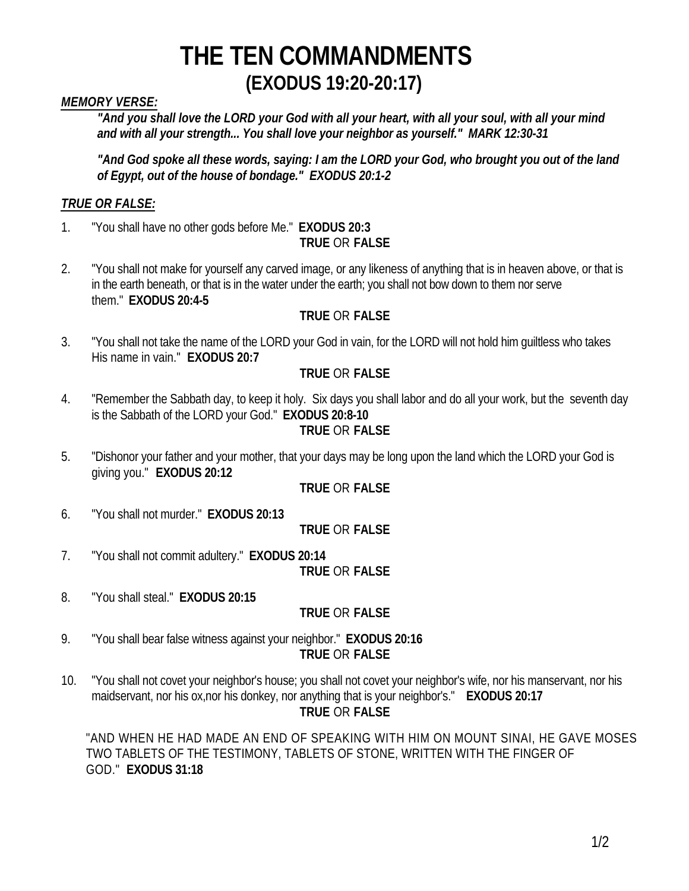## **THE TEN COMMANDMENTS (EXODUS 19:20-20:17)**

#### *MEMORY VERSE:*

*"And you shall love the LORD your God with all your heart, with all your soul, with all your mind and with all your strength... You shall love your neighbor as yourself." MARK 12:30-31*

*"And God spoke all these words, saying: I am the LORD your God, who brought you out of the land of Egypt, out of the house of bondage." EXODUS 20:1-2*

#### *TRUE OR FALSE:*

- 1. "You shall have no other gods before Me." **EXODUS 20:3 TRUE** OR **FALSE**
- 2. "You shall not make for yourself any carved image, or any likeness of anything that is in heaven above, or that is in the earth beneath, or that is in the water under the earth; you shall not bow down to them nor serve them." **EXODUS 20:4-5**

#### **TRUE** OR **FALSE**

3. "You shall not take the name of the LORD your God in vain, for the LORD will not hold him guiltless who takes His name in vain." **EXODUS 20:7**

#### **TRUE** OR **FALSE**

4. "Remember the Sabbath day, to keep it holy. Six days you shall labor and do all your work, but the seventh day is the Sabbath of the LORD your God." **EXODUS 20:8-10**

#### **TRUE** OR **FALSE**

5. "Dishonor your father and your mother, that your days may be long upon the land which the LORD your God is giving you." **EXODUS 20:12**

#### **TRUE** OR **FALSE**

6. "You shall not murder." **EXODUS 20:13**

#### **TRUE** OR **FALSE**

7. "You shall not commit adultery." **EXODUS 20:14**

**TRUE** OR **FALSE**

8. "You shall steal." **EXODUS 20:15**

#### **TRUE** OR **FALSE**

- 9. "You shall bear false witness against your neighbor." **EXODUS 20:16 TRUE** OR **FALSE**
- 10. "You shall not covet your neighbor's house; you shall not covet your neighbor's wife, nor his manservant, nor his maidservant, nor his ox,nor his donkey, nor anything that is your neighbor's." **EXODUS 20:17 TRUE** OR **FALSE**

"AND WHEN HE HAD MADE AN END OF SPEAKING WITH HIM ON MOUNT SINAI, HE GAVE MOSES TWO TABLETS OF THE TESTIMONY, TABLETS OF STONE, WRITTEN WITH THE FINGER OF GOD." **EXODUS 31:18**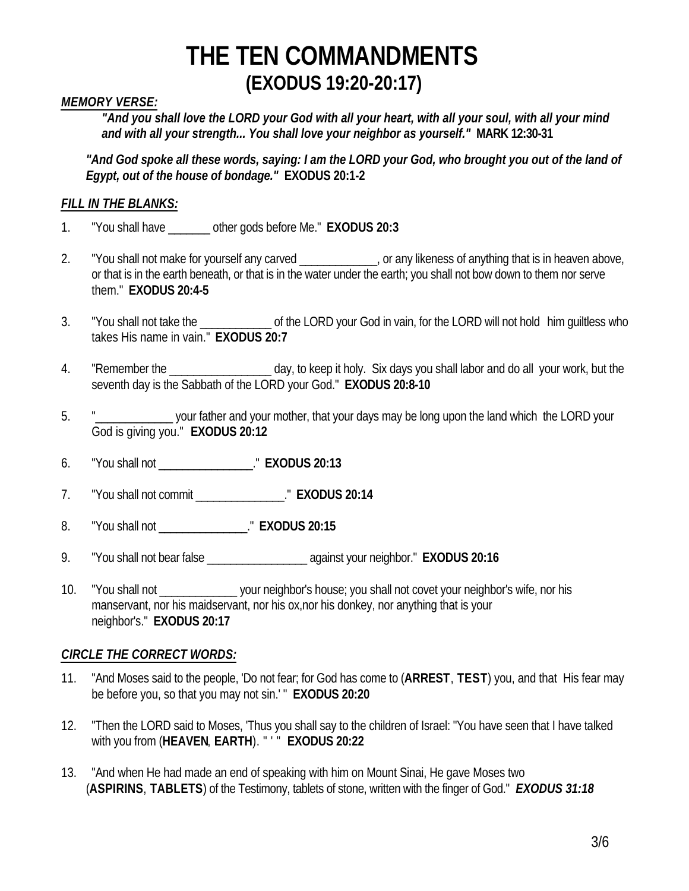# **THE TEN COMMANDMENTS (EXODUS 19:20-20:17)**

#### *MEMORY VERSE:*

*"And you shall love the LORD your God with all your heart, with all your soul, with all your mind and with all your strength... You shall love your neighbor as yourself."* **MARK 12:30-31**

*"And God spoke all these words, saying: I am the LORD your God, who brought you out of the land of Egypt, out of the house of bondage."* **EXODUS 20:1-2**

#### *FILL IN THE BLANKS:*

- 1. "You shall have \_\_\_\_\_\_\_ other gods before Me." **EXODUS 20:3**
- 2. "You shall not make for yourself any carved \_\_\_\_\_\_\_\_\_\_, or any likeness of anything that is in heaven above, or that is in the earth beneath, or that is in the water under the earth; you shall not bow down to them nor serve them." **EXODUS 20:4-5**
- 3. "You shall not take the \_\_\_\_\_\_\_\_\_\_\_\_\_\_ of the LORD your God in vain, for the LORD will not hold him quiltless who takes His name in vain." **EXODUS 20:7**
- 4. "Remember the \_\_\_\_\_\_\_\_\_\_\_\_\_\_\_\_\_ day, to keep it holy. Six days you shall labor and do all your work, but the seventh day is the Sabbath of the LORD your God." **EXODUS 20:8-10**
- 5. "\_\_\_\_\_\_\_\_\_\_\_\_\_ your father and your mother, that your days may be long upon the land which the LORD your God is giving you." **EXODUS 20:12**
- 6. "You shall not \_\_\_\_\_\_\_\_\_\_\_\_\_\_\_\_." **EXODUS 20:13**
- 7. "You shall not commit \_\_\_\_\_\_\_\_\_\_\_\_\_\_\_." **EXODUS 20:14**
- 8. "You shall not \_\_\_\_\_\_\_\_\_\_\_\_\_\_\_." **EXODUS 20:15**
- 9. "You shall not bear false \_\_\_\_\_\_\_\_\_\_\_\_\_\_\_\_\_ against your neighbor." **EXODUS 20:16**
- 10. "You shall not vour neighbor's house; you shall not covet your neighbor's wife, nor his manservant, nor his maidservant, nor his ox,nor his donkey, nor anything that is your neighbor's." **EXODUS 20:17**

#### *CIRCLE THE CORRECT WORDS:*

- 11. "And Moses said to the people, 'Do not fear; for God has come to (**ARREST**, **TEST**) you, and that His fear may be before you, so that you may not sin.' " **EXODUS 20:20**
- 12. "Then the LORD said to Moses, 'Thus you shall say to the children of Israel: "You have seen that I have talked with you from (**HEAVEN**, **EARTH**). " ' " **EXODUS 20:22**
- 13. "And when He had made an end of speaking with him on Mount Sinai, He gave Moses two (**ASPIRINS**, **TABLETS**) of the Testimony, tablets of stone, written with the finger of God." *EXODUS 31:18*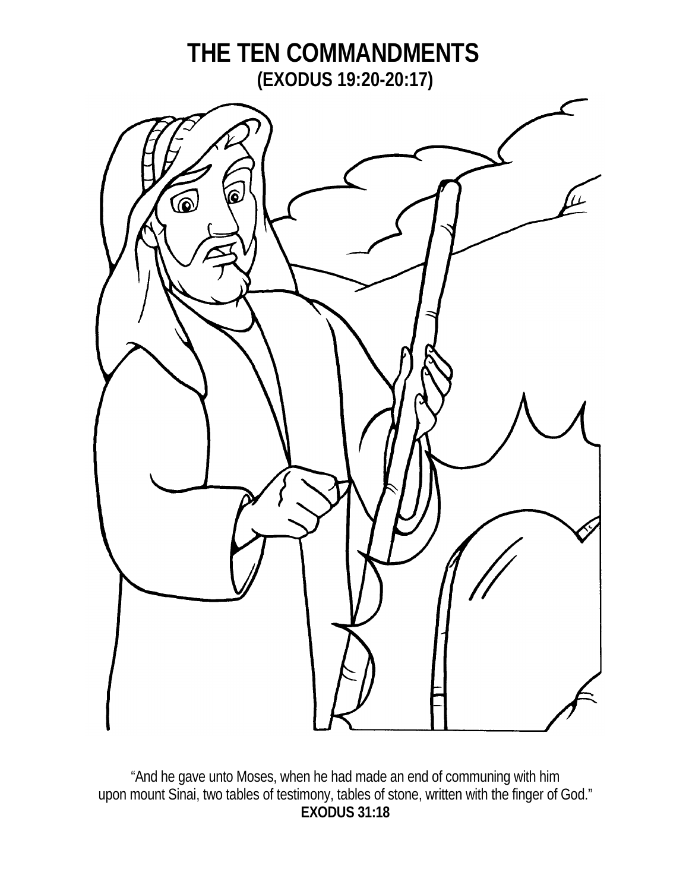

"And he gave unto Moses, when he had made an end of communing with him upon mount Sinai, two tables of testimony, tables of stone, written with the finger of God." **EXODUS 31:18**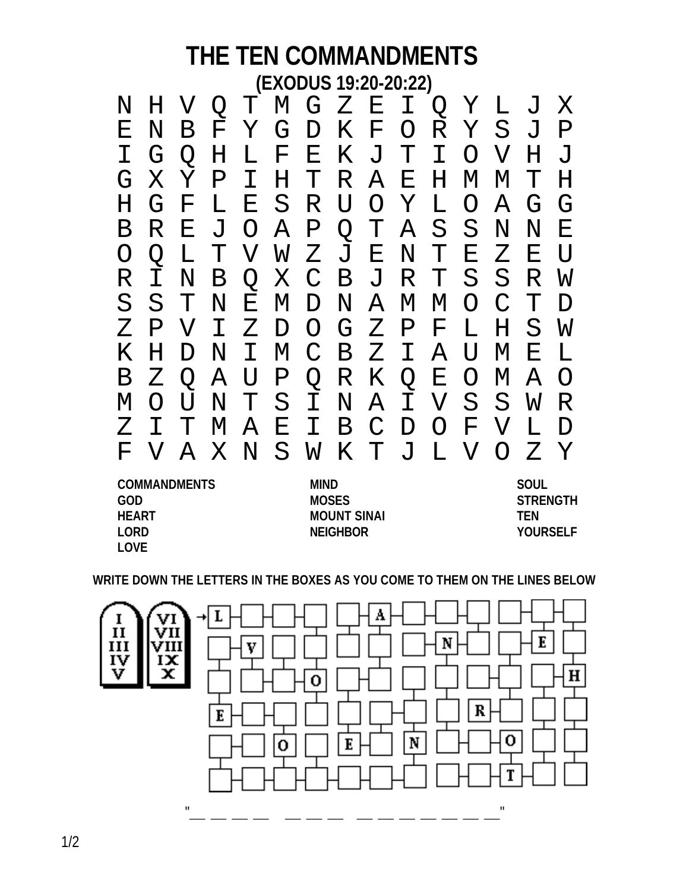### **THE TEN COMMANDMENTS (EXODUS 19:20-20:22)**

| $\rm N$                   | H           | $\bm{\nabla}$             | Q             |                |                 |                |              |               |              |                 |                           | T M G Z E I Q Y L J |                | $\boldsymbol{\mathrm{X}}$ |
|---------------------------|-------------|---------------------------|---------------|----------------|-----------------|----------------|--------------|---------------|--------------|-----------------|---------------------------|---------------------|----------------|---------------------------|
| Ε                         | N           | Β                         | $\rm F$ .     | Y              | G               | $\mathbf{D}$   |              | K F           | $\bigcirc$   |                 | R Y S                     |                     | $\overline{J}$ | $\mathbf P$               |
|                           | G           | Q                         | H             | L              | $\mathbf{F}$    | $\mathbf{E}$   |              | K J T         |              | $\mathbf I$     | $\bigcirc$                | $\mathbf V$         | H              | $\overline{J}$            |
| G                         | Χ           | Y                         | $\mathbf P$   | I.             | $H_{\parallel}$ | T.             |              | R A           | $\mathbf{E}$ | $H_{\parallel}$ | $\mathbf M$               | M                   | T              | H                         |
| H                         | G           | $\boldsymbol{\mathrm{F}}$ | L             | $\mathbf{E}^-$ | S               |                | R U O Y      |               |              | L               | $\bigcirc$                | $\mathcal{A}$       | G              | G                         |
| $\mathbf B$               | R           | $\mathbf{E}$              | J             |                | O A P Q T A     |                |              |               |              | S               | $S_{-}$                   | $\mathbf N$         | $\mathbf N$    | E                         |
| O                         | $\bigcirc$  | L                         | T             |                | V W Z J E N T   |                |              |               |              |                 | $\boldsymbol{\mathrm{E}}$ | $Z_{\mathsf{I}}$    | Ε              | U                         |
| R                         | T           | N                         | B             |                | Q X C           |                |              | B J           |              | R T             | S                         | S                   | R              | W                         |
| S                         | S           | $\mathbf T$               | $\rm N$       |                | E M D           |                |              | N A           | M            | M               | $\Omega$                  | $\mathcal{C}$       | T              | $\mathbf D$               |
| Ζ                         | $\mathbf P$ | $\bm{\nabla}$             | I.            | $Z_{\rm}$      | $\mathbf{D}$    |                | $O$ $G$ $Z$  |               | $\mathbf P$  | $\mathbf{F}$    | L                         | H                   | S              | W                         |
| Κ                         | H           | D                         | N             | I.             | $\mathbf M$     | $\mathcal{C}$  |              | B Z           | $\mathbf{T}$ | $\mathbf{A}$    | U                         | M                   | Ε              | L                         |
| $\mathbf B$               | Z           | $\bigcirc$                | $\mathcal{A}$ | U              | $\mathbf P$     |                | Q R K        |               | Q            | $\mathbf{E}$    |                           | $O$ M               | $\mathcal{A}$  | $\bigcirc$                |
| М                         | $\bigcap$   | IJ                        | N             | T              | $S_{\cdot}$     | $\mathbf{I}^-$ |              | N A           |              | I V S           |                           | S.                  | W              | R                         |
| Z                         |             |                           | M             | $\mathcal{A}$  | $\mathbf{E}$    | $\mathbf{T}$   | $\mathbf{B}$ | $\mathcal{C}$ | D            | $\bigcirc$      | $\mathbf{F}$              | $\bm{\nabla}$       | L              | $\mathbf D$               |
| $\boldsymbol{\mathrm{F}}$ | $\rm {V}$   |                           | A X N         |                |                 |                |              |               |              | SWKTJLV         |                           | $\bigcirc$          | Z              | $\mathbf Y$               |
| <b>COMMANDMENTS</b>       |             |                           |               |                |                 |                | <b>MIND</b>  |               |              | <b>SOUL</b>     |                           |                     |                |                           |

**GOD MOSES STRENGTH HEART MOUNT SINAI TEN LORD NEIGHBOR YOURSELF LOVE**

**WRITE DOWN THE LETTERS IN THE BOXES AS YOU COME TO THEM ON THE LINES BELOW**

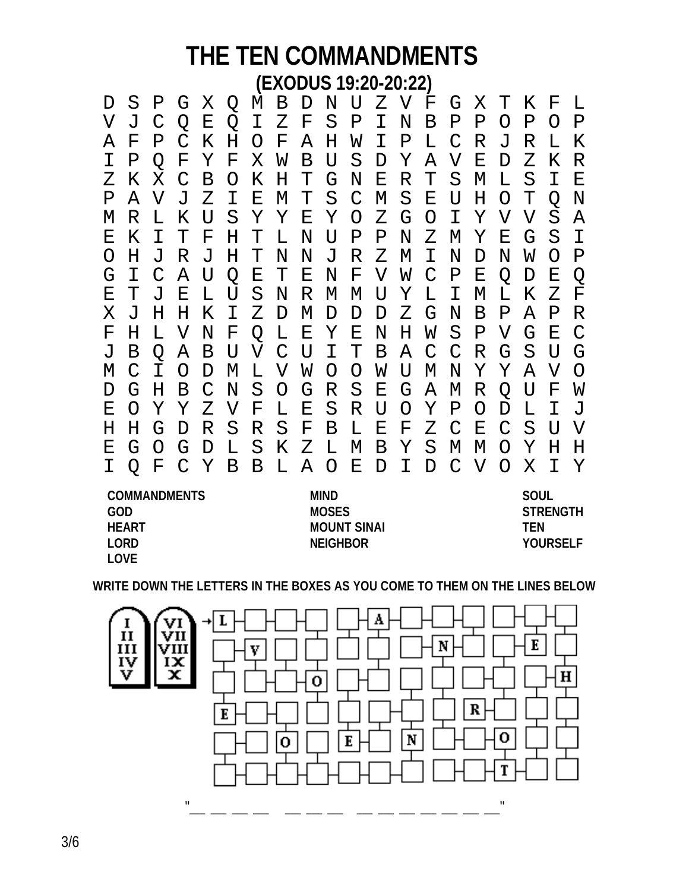## **THE TEN COMMANDMENTS (EXODUS 19:20-20:22)**

| D                   |                | Ρ             | G             | Χ | Q  | M  | Β             | D           | N U     |               | Ζ  | $\mathbf V$ | F             | G             | Χ | т                | Κ  | F                | L             |
|---------------------|----------------|---------------|---------------|---|----|----|---------------|-------------|---------|---------------|----|-------------|---------------|---------------|---|------------------|----|------------------|---------------|
| V                   | $\overline{J}$ | C             | Q             | Е | Q  | I. | Ζ             | F           | S       | Ρ             | I. | N           | Β             | Ρ             | Ρ | $\left( \right)$ | Ρ  | $\left( \right)$ | Ρ             |
| А                   | F              | P             | C             | Κ | Η  | O  | F             | Α           | Η       | W             | I. | Ρ           | L             | C             | R | J                | R  | L                | Κ             |
| I                   | Ρ              | O             | F             | Υ | F  | Χ  | W             | В           | U       | S             | D  | Υ           | Α             | V             | Ε | D                | Ζ  | Κ                | R             |
| Ζ                   | Κ              | Χ             | C             | Β | O  | Κ  | Η             | Т           | G       | N             | Е  | R           | Т             | S             | М | L                | S  | I                | Е             |
| Ρ                   | Α              | V             | J             | Ζ | I. | Е  | М             | Т           | S       | $\mathcal{C}$ | М  | S           | Е             | U             | Η | O                | т  | Q                | N             |
| М                   | R              | L             | Κ             | U | S  | Υ  | Υ             | Ε           | Υ       | $\circ$       | Ζ  | G           | O             | I.            | Υ | V                | V  | S                | Α             |
| Ε                   | Κ              | I             | Т             | F | Η  | Т  | L             | Ν           | U       | Ρ             | Ρ  | Ν           | Ζ             | М             | Υ | Ε                | G  | S                | I             |
| O                   | H.             | J             | R             | J | Η  | Т  | N             | Ν           | J       | R             | Ζ  | M           | I             | Ν             | D | N                | W  | $\left( \right)$ | Ρ             |
| G                   | I              | $\mathcal{C}$ | Α             | U | Q  | Ε  | т             | Е           | N       | F             | V  | W           | $\mathcal{C}$ | Ρ             | Ε | Q                | D  | Ε                | Q             |
| Ε                   | Т              | J             | Ε             | L | U  | S  | N             | R           | М       | М             | U  | Υ           | L             | I             | М | L                | Κ  | Ζ                | F             |
| Χ                   | J              | Η             | Η             | Κ | I. | Ζ  | D             | М           | D       | D             | D  | Ζ           | G             | N             | В | Ρ                | Α  | Ρ                | R             |
| F                   | H.             | L             | V             | N | F  | Q  | L             | Ε           | Υ       | Е             | N  | Η           | W             | S             | Ρ | V                | G  | Е                | $\mathcal{C}$ |
| J                   | Β              | Q             | Α             | Β | U  | V  | $\mathcal{C}$ | U           | I.      | Т             | Β  | Α           | $\mathsf C$   | $\mathcal{C}$ | R | G                | S  | U                | G             |
| М                   | C              | T.            | O             | D | М  | L  | V             | W           | O       | O             | W  | U           | М             | N             | Υ | Υ                | Α  | V                | O             |
| D                   | G              | Η             | Β             | C | N  | S  | O             | G           | R       | S             | Е  | G           | Α             | М             | R | Q                | U  | F                | W             |
| Ε                   | O              | Υ             | Υ             | Ζ | V  | F  | L             | Ε           | S       | R             | U  | O           | Υ             | $\mathbf P$   | O | D                | L  | T.               | J             |
| Η                   | H              | G             | D             | R | S  | R  | S             | F           | Β       | L             | Е  | F           | Ζ             | $\mathcal{C}$ | Ε | C                | S  | U                | V             |
| Ε                   | G              | $\left($      | G             | D | L  | S  | Κ             | Ζ           | L       | М             | Β  | Υ           | S             | М             | М | Ω                | Υ  | Н                | H             |
| I.                  | Q              | F             | $\mathcal{C}$ | Υ | Β  | B  | L             | A           | $\circ$ | Е             | D  | I           | D             | $\mathcal{C}$ | V | O                | X. | I                | Υ             |
| <b>COMMANDMENTS</b> |                |               |               |   |    |    |               | <b>MIND</b> |         |               |    |             |               |               |   | <b>SOUL</b>      |    |                  |               |

**GOD MOSES STRENGTH HEART MOUNT SINAI TEN LORD NEIGHBOR YOURSELF LOVE**

**WRITE DOWN THE LETTERS IN THE BOXES AS YOU COME TO THEM ON THE LINES BELOW**